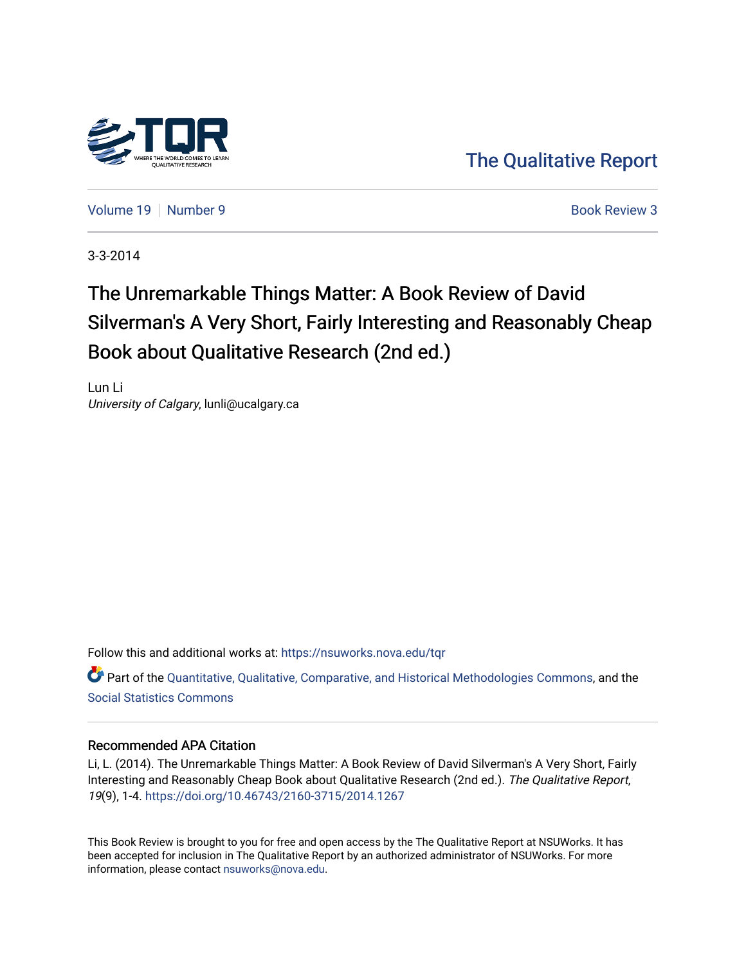

[The Qualitative Report](https://nsuworks.nova.edu/tqr) 

[Volume 19](https://nsuworks.nova.edu/tqr/vol19) [Number 9](https://nsuworks.nova.edu/tqr/vol19/iss9) **Book Review 3** Book Review 3

3-3-2014

# The Unremarkable Things Matter: A Book Review of David Silverman's A Very Short, Fairly Interesting and Reasonably Cheap Book about Qualitative Research (2nd ed.)

Lun Li University of Calgary, lunli@ucalgary.ca

Follow this and additional works at: [https://nsuworks.nova.edu/tqr](https://nsuworks.nova.edu/tqr?utm_source=nsuworks.nova.edu%2Ftqr%2Fvol19%2Fiss9%2F3&utm_medium=PDF&utm_campaign=PDFCoverPages) 

Part of the [Quantitative, Qualitative, Comparative, and Historical Methodologies Commons,](http://network.bepress.com/hgg/discipline/423?utm_source=nsuworks.nova.edu%2Ftqr%2Fvol19%2Fiss9%2F3&utm_medium=PDF&utm_campaign=PDFCoverPages) and the [Social Statistics Commons](http://network.bepress.com/hgg/discipline/1275?utm_source=nsuworks.nova.edu%2Ftqr%2Fvol19%2Fiss9%2F3&utm_medium=PDF&utm_campaign=PDFCoverPages) 

#### Recommended APA Citation

Li, L. (2014). The Unremarkable Things Matter: A Book Review of David Silverman's A Very Short, Fairly Interesting and Reasonably Cheap Book about Qualitative Research (2nd ed.). The Qualitative Report, 19(9), 1-4.<https://doi.org/10.46743/2160-3715/2014.1267>

This Book Review is brought to you for free and open access by the The Qualitative Report at NSUWorks. It has been accepted for inclusion in The Qualitative Report by an authorized administrator of NSUWorks. For more information, please contact [nsuworks@nova.edu.](mailto:nsuworks@nova.edu)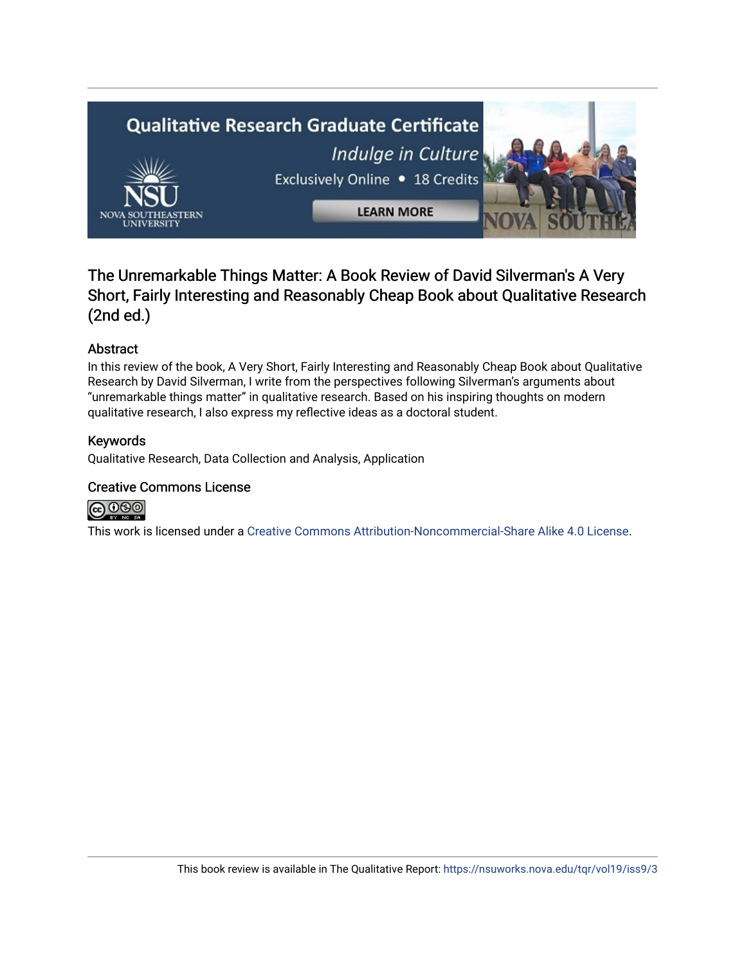

## The Unremarkable Things Matter: A Book Review of David Silverman's A Very Short, Fairly Interesting and Reasonably Cheap Book about Qualitative Research (2nd ed.)

## Abstract

In this review of the book, A Very Short, Fairly Interesting and Reasonably Cheap Book about Qualitative Research by David Silverman, I write from the perspectives following Silverman's arguments about "unremarkable things matter" in qualitative research. Based on his inspiring thoughts on modern qualitative research, I also express my reflective ideas as a doctoral student.

## Keywords

Qualitative Research, Data Collection and Analysis, Application

#### Creative Commons License



This work is licensed under a [Creative Commons Attribution-Noncommercial-Share Alike 4.0 License](https://creativecommons.org/licenses/by-nc-sa/4.0/).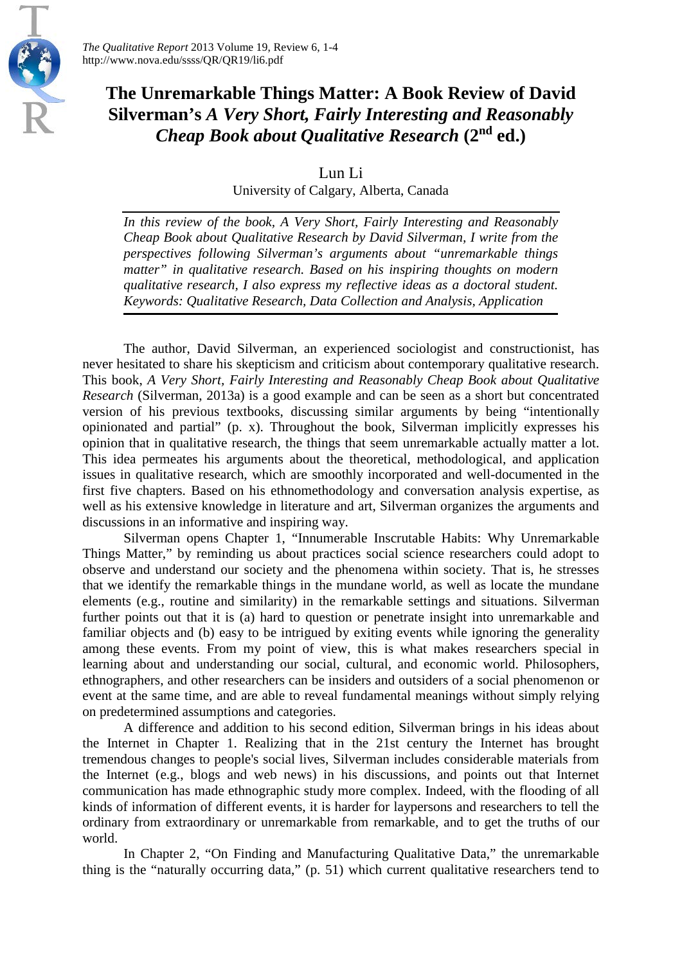

*The Qualitative Report* 2013 Volume 19, Review 6, 1-4 http://www.nova.edu/ssss/QR/QR19/li6.pdf

# **The Unremarkable Things Matter: A Book Review of David Silverman's** *A Very Short, Fairly Interesting and Reasonably Cheap Book about Qualitative Research* **(2nd ed.)**

Lun Li

University of Calgary, Alberta, Canada

*In this review of the book, A Very Short, Fairly Interesting and Reasonably Cheap Book about Qualitative Research by David Silverman, I write from the perspectives following Silverman's arguments about "unremarkable things matter" in qualitative research. Based on his inspiring thoughts on modern qualitative research, I also express my reflective ideas as a doctoral student. Keywords: Qualitative Research, Data Collection and Analysis, Application*

The author, David Silverman, an experienced sociologist and constructionist, has never hesitated to share his skepticism and criticism about contemporary qualitative research. This book, *A Very Short, Fairly Interesting and Reasonably Cheap Book about Qualitative Research* (Silverman, 2013a) is a good example and can be seen as a short but concentrated version of his previous textbooks, discussing similar arguments by being "intentionally opinionated and partial" (p. x). Throughout the book, Silverman implicitly expresses his opinion that in qualitative research, the things that seem unremarkable actually matter a lot. This idea permeates his arguments about the theoretical, methodological, and application issues in qualitative research, which are smoothly incorporated and well-documented in the first five chapters. Based on his ethnomethodology and conversation analysis expertise, as well as his extensive knowledge in literature and art, Silverman organizes the arguments and discussions in an informative and inspiring way.

Silverman opens Chapter 1, "Innumerable Inscrutable Habits: Why Unremarkable Things Matter," by reminding us about practices social science researchers could adopt to observe and understand our society and the phenomena within society. That is, he stresses that we identify the remarkable things in the mundane world, as well as locate the mundane elements (e.g., routine and similarity) in the remarkable settings and situations. Silverman further points out that it is (a) hard to question or penetrate insight into unremarkable and familiar objects and (b) easy to be intrigued by exiting events while ignoring the generality among these events. From my point of view, this is what makes researchers special in learning about and understanding our social, cultural, and economic world. Philosophers, ethnographers, and other researchers can be insiders and outsiders of a social phenomenon or event at the same time, and are able to reveal fundamental meanings without simply relying on predetermined assumptions and categories.

A difference and addition to his second edition, Silverman brings in his ideas about the Internet in Chapter 1. Realizing that in the 21st century the Internet has brought tremendous changes to people's social lives, Silverman includes considerable materials from the Internet (e.g., blogs and web news) in his discussions, and points out that Internet communication has made ethnographic study more complex. Indeed, with the flooding of all kinds of information of different events, it is harder for laypersons and researchers to tell the ordinary from extraordinary or unremarkable from remarkable, and to get the truths of our world.

In Chapter 2, "On Finding and Manufacturing Qualitative Data," the unremarkable thing is the "naturally occurring data," (p. 51) which current qualitative researchers tend to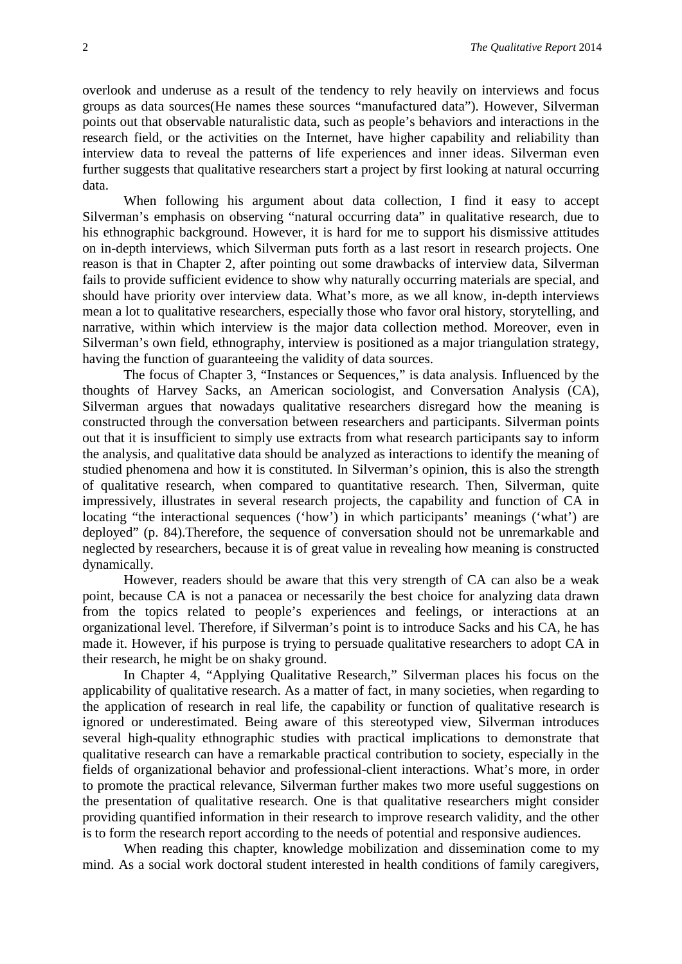overlook and underuse as a result of the tendency to rely heavily on interviews and focus groups as data sources(He names these sources "manufactured data"). However, Silverman points out that observable naturalistic data, such as people's behaviors and interactions in the research field, or the activities on the Internet, have higher capability and reliability than interview data to reveal the patterns of life experiences and inner ideas. Silverman even further suggests that qualitative researchers start a project by first looking at natural occurring data.

When following his argument about data collection, I find it easy to accept Silverman's emphasis on observing "natural occurring data" in qualitative research, due to his ethnographic background. However, it is hard for me to support his dismissive attitudes on in-depth interviews, which Silverman puts forth as a last resort in research projects. One reason is that in Chapter 2, after pointing out some drawbacks of interview data, Silverman fails to provide sufficient evidence to show why naturally occurring materials are special, and should have priority over interview data. What's more, as we all know, in-depth interviews mean a lot to qualitative researchers, especially those who favor oral history, storytelling, and narrative, within which interview is the major data collection method. Moreover, even in Silverman's own field, ethnography, interview is positioned as a major triangulation strategy, having the function of guaranteeing the validity of data sources.

The focus of Chapter 3, "Instances or Sequences," is data analysis. Influenced by the thoughts of Harvey Sacks, an American sociologist, and Conversation Analysis (CA), Silverman argues that nowadays qualitative researchers disregard how the meaning is constructed through the conversation between researchers and participants. Silverman points out that it is insufficient to simply use extracts from what research participants say to inform the analysis, and qualitative data should be analyzed as interactions to identify the meaning of studied phenomena and how it is constituted. In Silverman's opinion, this is also the strength of qualitative research, when compared to quantitative research. Then, Silverman, quite impressively, illustrates in several research projects, the capability and function of CA in locating "the interactional sequences ('how') in which participants' meanings ('what') are deployed" (p. 84).Therefore, the sequence of conversation should not be unremarkable and neglected by researchers, because it is of great value in revealing how meaning is constructed dynamically.

However, readers should be aware that this very strength of CA can also be a weak point, because CA is not a panacea or necessarily the best choice for analyzing data drawn from the topics related to people's experiences and feelings, or interactions at an organizational level. Therefore, if Silverman's point is to introduce Sacks and his CA, he has made it. However, if his purpose is trying to persuade qualitative researchers to adopt CA in their research, he might be on shaky ground.

In Chapter 4, "Applying Qualitative Research," Silverman places his focus on the applicability of qualitative research. As a matter of fact, in many societies, when regarding to the application of research in real life, the capability or function of qualitative research is ignored or underestimated. Being aware of this stereotyped view, Silverman introduces several high-quality ethnographic studies with practical implications to demonstrate that qualitative research can have a remarkable practical contribution to society, especially in the fields of organizational behavior and professional-client interactions. What's more, in order to promote the practical relevance, Silverman further makes two more useful suggestions on the presentation of qualitative research. One is that qualitative researchers might consider providing quantified information in their research to improve research validity, and the other is to form the research report according to the needs of potential and responsive audiences.

When reading this chapter, knowledge mobilization and dissemination come to my mind. As a social work doctoral student interested in health conditions of family caregivers,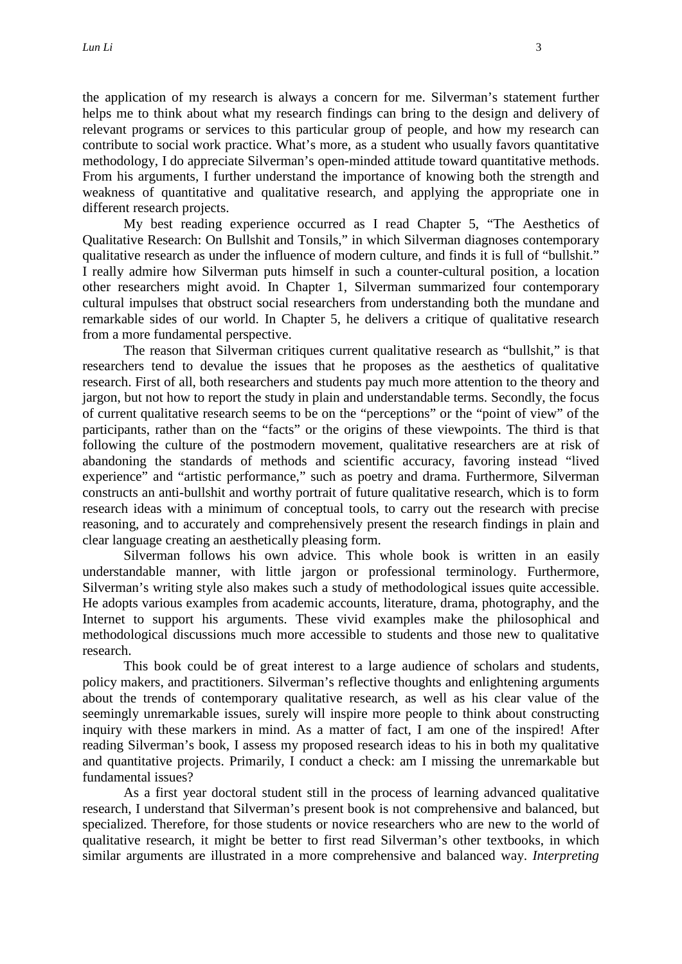the application of my research is always a concern for me. Silverman's statement further helps me to think about what my research findings can bring to the design and delivery of relevant programs or services to this particular group of people, and how my research can contribute to social work practice. What's more, as a student who usually favors quantitative methodology, I do appreciate Silverman's open-minded attitude toward quantitative methods. From his arguments, I further understand the importance of knowing both the strength and weakness of quantitative and qualitative research, and applying the appropriate one in different research projects.

My best reading experience occurred as I read Chapter 5, "The Aesthetics of Qualitative Research: On Bullshit and Tonsils," in which Silverman diagnoses contemporary qualitative research as under the influence of modern culture, and finds it is full of "bullshit." I really admire how Silverman puts himself in such a counter-cultural position, a location other researchers might avoid. In Chapter 1, Silverman summarized four contemporary cultural impulses that obstruct social researchers from understanding both the mundane and remarkable sides of our world. In Chapter 5, he delivers a critique of qualitative research from a more fundamental perspective.

The reason that Silverman critiques current qualitative research as "bullshit," is that researchers tend to devalue the issues that he proposes as the aesthetics of qualitative research. First of all, both researchers and students pay much more attention to the theory and jargon, but not how to report the study in plain and understandable terms. Secondly, the focus of current qualitative research seems to be on the "perceptions" or the "point of view" of the participants, rather than on the "facts" or the origins of these viewpoints. The third is that following the culture of the postmodern movement, qualitative researchers are at risk of abandoning the standards of methods and scientific accuracy, favoring instead "lived experience" and "artistic performance," such as poetry and drama. Furthermore, Silverman constructs an anti-bullshit and worthy portrait of future qualitative research, which is to form research ideas with a minimum of conceptual tools, to carry out the research with precise reasoning, and to accurately and comprehensively present the research findings in plain and clear language creating an aesthetically pleasing form.

Silverman follows his own advice. This whole book is written in an easily understandable manner, with little jargon or professional terminology. Furthermore, Silverman's writing style also makes such a study of methodological issues quite accessible. He adopts various examples from academic accounts, literature, drama, photography, and the Internet to support his arguments. These vivid examples make the philosophical and methodological discussions much more accessible to students and those new to qualitative research.

This book could be of great interest to a large audience of scholars and students, policy makers, and practitioners. Silverman's reflective thoughts and enlightening arguments about the trends of contemporary qualitative research, as well as his clear value of the seemingly unremarkable issues, surely will inspire more people to think about constructing inquiry with these markers in mind. As a matter of fact, I am one of the inspired! After reading Silverman's book, I assess my proposed research ideas to his in both my qualitative and quantitative projects. Primarily, I conduct a check: am I missing the unremarkable but fundamental issues?

As a first year doctoral student still in the process of learning advanced qualitative research, I understand that Silverman's present book is not comprehensive and balanced, but specialized. Therefore, for those students or novice researchers who are new to the world of qualitative research, it might be better to first read Silverman's other textbooks, in which similar arguments are illustrated in a more comprehensive and balanced way. *Interpreting*